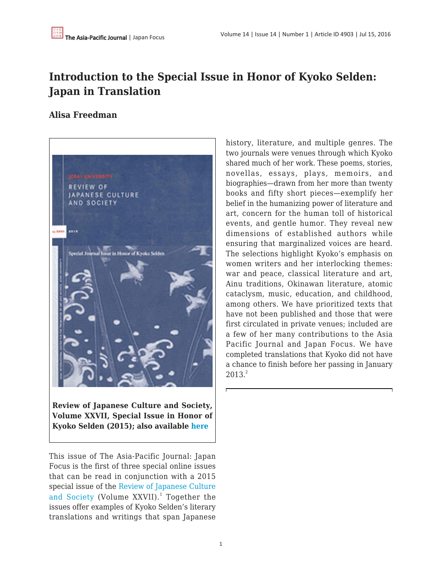# **Introduction to the Special Issue in Honor of Kyoko Selden: Japan in Translation**

## **Alisa Freedman**



**Review of Japanese Culture and Society, Volume XXVII, Special Issue in Honor of Kyoko Selden (2015); also available [here](http://www.josai.jp/news/2015/20150721_RJCS.html)**

This issue of The Asia-Pacific Journal: Japan Focus is the first of three special online issues that can be read in conjunction with a 2015 special issue of the [Review of Japanese Culture](http://www.josai.jp/jicpas/RJCS/) [and Society](http://www.josai.jp/jicpas/RJCS/) (Volume XXVII).<sup>1</sup> Together the issues offer examples of Kyoko Selden's literary translations and writings that span Japanese history, literature, and multiple genres. The two journals were venues through which Kyoko shared much of her work. These poems, stories, novellas, essays, plays, memoirs, and biographies—drawn from her more than twenty books and fifty short pieces—exemplify her belief in the humanizing power of literature and art, concern for the human toll of historical events, and gentle humor. They reveal new dimensions of established authors while ensuring that marginalized voices are heard. The selections highlight Kyoko's emphasis on women writers and her interlocking themes: war and peace, classical literature and art, Ainu traditions, Okinawan literature, atomic cataclysm, music, education, and childhood, among others. We have prioritized texts that have not been published and those that were first circulated in private venues; included are a few of her many contributions to the Asia Pacific Journal and Japan Focus. We have completed translations that Kyoko did not have a chance to finish before her passing in January  $2013.<sup>2</sup>$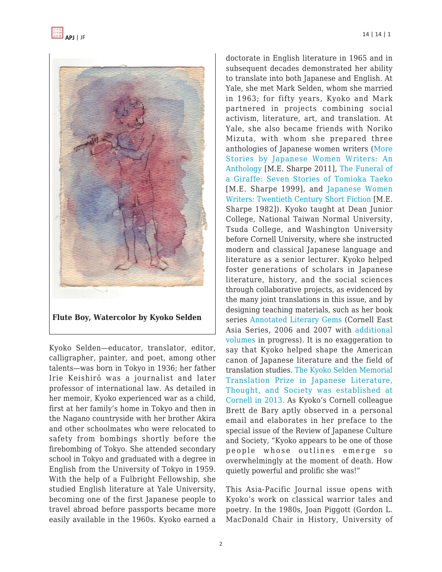

**Flute Boy, Watercolor by Kyoko Selden**

Kyoko Selden—educator, translator, editor, calligrapher, painter, and poet, among other talents—was born in Tokyo in 1936; her father Irie Keishirō was a journalist and later professor of international law. As detailed in her memoir, Kyoko experienced war as a child, first at her family's home in Tokyo and then in the Nagano countryside with her brother Akira and other schoolmates who were relocated to safety from bombings shortly before the firebombing of Tokyo. She attended secondary school in Tokyo and graduated with a degree in English from the University of Tokyo in 1959. With the help of a Fulbright Fellowship, she studied English literature at Yale University, becoming one of the first Japanese people to travel abroad before passports became more easily available in the 1960s. Kyoko earned a doctorate in English literature in 1965 and in subsequent decades demonstrated her ability to translate into both Japanese and English. At Yale, she met Mark Selden, whom she married in 1963; for fifty years, Kyoko and Mark partnered in projects combining social activism, literature, art, and translation. At Yale, she also became friends with Noriko Mizuta, with whom she prepared three anthologies of Japanese women writers ([More](https://www.routledge.com/products/9780765627346) [Stories by Japanese Women Writers: An](https://www.routledge.com/products/9780765627346) [Anthology](https://www.routledge.com/products/9780765627346) [M.E. Sharpe 2011], [The Funeral of](https://www.amazon.com/Funeral-Giraffe-Seven-Stories-Tomioka-ebook/dp/B0063HO7U8) [a Giraffe: Seven Stories of Tomioka Taeko](https://www.amazon.com/Funeral-Giraffe-Seven-Stories-Tomioka-ebook/dp/B0063HO7U8) [M.E. Sharpe 1999], and [Japanese Women](http://www.tandfebooks.com/doi/book/10.4324/9781315703138) [Writers: Twentieth Century Short Fiction](http://www.tandfebooks.com/doi/book/10.4324/9781315703138) [M.E. Sharpe 1982]). Kyoko taught at Dean Junior College, National Taiwan Normal University, Tsuda College, and Washington University before Cornell University, where she instructed modern and classical Japanese language and literature as a senior lecturer. Kyoko helped foster generations of scholars in Japanese literature, history, and the social sciences through collaborative projects, as evidenced by the many joint translations in this issue, and by designing teaching materials, such as her book series [Annotated Literary Gems \(](https://eap.einaudi.cornell.edu/annotated-japanese-literary-gems-0)Cornell East Asia Series, 2006 and 2007 with [additional](http://www.uhpress.hawaii.edu/p-6782-9781933947358.aspx) [volumes](http://www.uhpress.hawaii.edu/p-6782-9781933947358.aspx) in progress). It is no exaggeration to say that Kyoko helped shape the American canon of Japanese literature and the field of translation studies. [The Kyoko Selden Memorial](http://lrc.cornell.edu/asian/seldenmemorial) [Translation Prize in Japanese Literature,](http://lrc.cornell.edu/asian/seldenmemorial) [Thought, and Society was established at](http://lrc.cornell.edu/asian/seldenmemorial) [Cornell in 2013.](http://lrc.cornell.edu/asian/seldenmemorial) As Kyoko's Cornell colleague Brett de Bary aptly observed in a personal email and elaborates in her preface to the special issue of the Review of Japanese Culture and Society, "Kyoko appears to be one of those people whose outlines emerge so overwhelmingly at the moment of death. How quietly powerful and prolific she was!"

This Asia-Pacific Journal issue opens with Kyoko's work on classical warrior tales and poetry. In the 1980s, Joan Piggott (Gordon L. MacDonald Chair in History, University of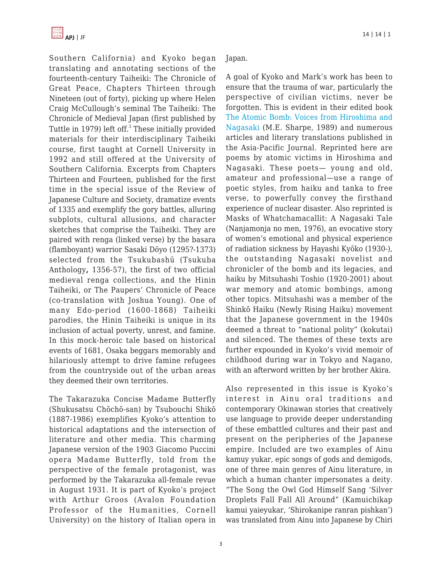

Southern California) and Kyoko began translating and annotating sections of the fourteenth-century Taiheiki: The Chronicle of Great Peace, Chapters Thirteen through Nineteen (out of forty), picking up where Helen Craig McCullough's seminal The Taiheiki: The Chronicle of Medieval Japan (first published by Tuttle in 1979) left off. $3$  These initially provided materials for their interdisciplinary Taiheiki course, first taught at Cornell University in 1992 and still offered at the University of Southern California. Excerpts from Chapters Thirteen and Fourteen, published for the first time in the special issue of the Review of Japanese Culture and Society, dramatize events of 1335 and exemplify the gory battles, alluring subplots, cultural allusions, and character sketches that comprise the Taiheiki. They are paired with renga (linked verse) by the basara (flamboyant) warrior Sasaki Dōyo (1295?-1373) selected from the Tsukubashū (Tsukuba Anthology**,** 1356-57), the first of two official medieval renga collections, and the Hinin Taiheiki, or The Paupers' Chronicle of Peace (co-translation with Joshua Young). One of many Edo-period (1600-1868) Taiheiki parodies, the Hinin Taiheiki is unique in its inclusion of actual poverty, unrest, and famine. In this mock-heroic tale based on historical events of 1681, Osaka beggars memorably and hilariously attempt to drive famine refugees from the countryside out of the urban areas they deemed their own territories.

The Takarazuka Concise Madame Butterfly (Shukusatsu Chōchō-san) by Tsubouchi Shikō (1887-1986) exemplifies Kyoko's attention to historical adaptations and the intersection of literature and other media. This charming Japanese version of the 1903 Giacomo Puccini opera Madame Butterfly, told from the perspective of the female protagonist, was performed by the Takarazuka all-female revue in August 1931. It is part of Kyoko's project with Arthur Groos (Avalon Foundation Professor of the Humanities, Cornell University) on the history of Italian opera in Japan.

A goal of Kyoko and Mark's work has been to ensure that the trauma of war, particularly the perspective of civilian victims, never be forgotten. This is evident in their edited book [The Atomic Bomb: Voices from Hiroshima and](https://www.amazon.com/Atomic-Bomb-Voices-Hiroshima-Nagasaki/dp/087332773X?ie=UTF8&tag=theasipacjo0b-20) [Nagasaki](https://www.amazon.com/Atomic-Bomb-Voices-Hiroshima-Nagasaki/dp/087332773X?ie=UTF8&tag=theasipacjo0b-20) (M.E. Sharpe, 1989) and numerous articles and literary translations published in the Asia-Pacific Journal. Reprinted here are poems by atomic victims in Hiroshima and Nagasaki. These poets— young and old, amateur and professional—use a range of poetic styles, from haiku and tanka to free verse, to powerfully convey the firsthand experience of nuclear disaster. Also reprinted is Masks of Whatchamacallit: A Nagasaki Tale (Nanjamonja no men, 1976), an evocative story of women's emotional and physical experience of radiation sickness by Hayashi Kyōko (1930-), the outstanding Nagasaki novelist and chronicler of the bomb and its legacies, and haiku by Mitsuhashi Toshio (1920-2001) about war memory and atomic bombings, among other topics. Mitsuhashi was a member of the Shinkō Haiku (Newly Rising Haiku) movement that the Japanese government in the 1940s deemed a threat to "national polity" (kokutai) and silenced. The themes of these texts are further expounded in Kyoko's vivid memoir of childhood during war in Tokyo and Nagano, with an afterword written by her brother Akira.

Also represented in this issue is Kyoko's interest in Ainu oral traditions and contemporary Okinawan stories that creatively use language to provide deeper understanding of these embattled cultures and their past and present on the peripheries of the Japanese empire. Included are two examples of Ainu kamuy yukar, epic songs of gods and demigods, one of three main genres of Ainu literature, in which a human chanter impersonates a deity. "The Song the Owl God Himself Sang 'Silver Droplets Fall Fall All Around" (Kamuichikap kamui yaieyukar, 'Shirokanipe ranran pishkan') was translated from Ainu into Japanese by Chiri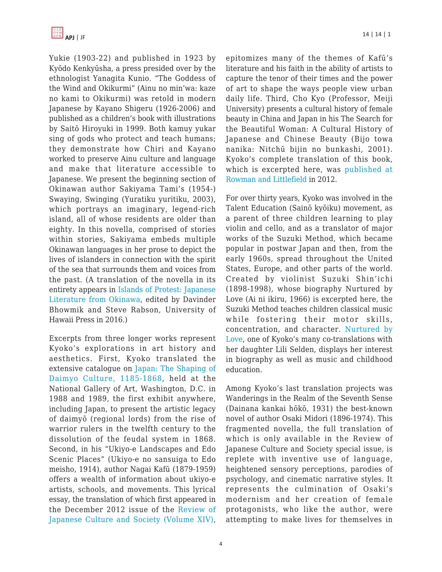

Yukie (1903-22) and published in 1923 by Kyōdo Kenkyūsha, a press presided over by the ethnologist Yanagita Kunio. "The Goddess of the Wind and Okikurmi" (Ainu no min'wa: kaze no kami to Okikurmi) was retold in modern Japanese by Kayano Shigeru (1926-2006) and published as a children's book with illustrations by Saitō Hiroyuki in 1999. Both kamuy yukar sing of gods who protect and teach humans; they demonstrate how Chiri and Kayano worked to preserve Ainu culture and language and make that literature accessible to Japanese. We present the beginning section of Okinawan author Sakiyama Tami's (1954-) Swaying, Swinging (Yuratiku yuritiku, 2003), which portrays an imaginary, legend-rich island, all of whose residents are older than eighty. In this novella, comprised of stories within stories, Sakiyama embeds multiple Okinawan languages in her prose to depict the lives of islanders in connection with the spirit of the sea that surrounds them and voices from the past. (A translation of the novella in its entirety appears in [Islands of Protest: Japanese](http://www.uhpress.hawaii.edu/p-9532-9780824839796.aspx) [Literature from Okinawa,](http://www.uhpress.hawaii.edu/p-9532-9780824839796.aspx) edited by Davinder Bhowmik and Steve Rabson, University of Hawaii Press in 2016.)

Excerpts from three longer works represent Kyoko's explorations in art history and aesthetics. First, Kyoko translated the extensive catalogue on [Japan:](http://www.nga.gov/content/ngaweb/research/publications/pdf-library/japan-the-shaping-of-daimyo-culture.html) [The Shaping of](http://www.nga.gov/content/ngaweb/research/publications/pdf-library/japan-the-shaping-of-daimyo-culture.html) [Daimyo Culture, 1185-1868,](http://www.nga.gov/content/ngaweb/research/publications/pdf-library/japan-the-shaping-of-daimyo-culture.html) held at the National Gallery of Art, Washington, D.C. in 1988 and 1989, the first exhibit anywhere, including Japan, to present the artistic legacy of daimyō (regional lords) from the rise of warrior rulers in the twelfth century to the dissolution of the feudal system in 1868. Second, in his "Ukiyo-e Landscapes and Edo Scenic Places" (Ukiyo-e no sansuiga to Edo meisho, 1914), author Nagai Kafū (1879-1959) offers a wealth of information about ukiyo-e artists, schools, and movements. This lyrical essay, the translation of which first appeared in the December 2012 issue of the [Review of](http://www.josai.jp/jicpas/RJCS/2012.html) [Japanese Culture and Society \(Volume XIV\),](http://www.josai.jp/jicpas/RJCS/2012.html) epitomizes many of the themes of Kafū's literature and his faith in the ability of artists to capture the tenor of their times and the power of art to shape the ways people view urban daily life. Third, Cho Kyo (Professor, Meiji University) presents a cultural history of female beauty in China and Japan in his The Search for the Beautiful Woman: A Cultural History of Japanese and Chinese Beauty (Bijo towa nanika: Nitchū bijin no bunkashi, 2001). Kyoko's complete translation of this book, which is excerpted here, was [published at](https://rowman.com/ISBN/9781442218932/The-Search-for-the-Beautiful-Woman-A-Cultural-History-of-Japanese-and-Chinese-Beauty) [Rowman and Littlefield](https://rowman.com/ISBN/9781442218932/The-Search-for-the-Beautiful-Woman-A-Cultural-History-of-Japanese-and-Chinese-Beauty) in 2012.

For over thirty years, Kyoko was involved in the Talent Education (Sainō kyōiku) movement, as a parent of three children learning to play violin and cello, and as a translator of major works of the Suzuki Method, which became popular in postwar Japan and then, from the early 1960s, spread throughout the United States, Europe, and other parts of the world. Created by violinist Suzuki Shin'ichi (1898-1998), whose biography Nurtured by Love (Ai ni ikiru, 1966) is excerpted here, the Suzuki Method teaches children classical music while fostering their motor skills, concentration, and character. [Nurtured by](http://www.abebooks.com/Nurtured-Love-Suzuki-Shinichi-Selden-Kyoko/16363879899/bd) [Love](http://www.abebooks.com/Nurtured-Love-Suzuki-Shinichi-Selden-Kyoko/16363879899/bd), one of Kyoko's many co-translations with her daughter Lili Selden, displays her interest in biography as well as music and childhood education.

Among Kyoko's last translation projects was Wanderings in the Realm of the Seventh Sense (Dainana kankai hōkō, 1931) the best-known novel of author Osaki Midori (1896-1974). This fragmented novella, the full translation of which is only available in the Review of Japanese Culture and Society special issue, is replete with inventive use of language, heightened sensory perceptions, parodies of psychology, and cinematic narrative styles. It represents the culmination of Osaki's modernism and her creation of female protagonists, who like the author, were attempting to make lives for themselves in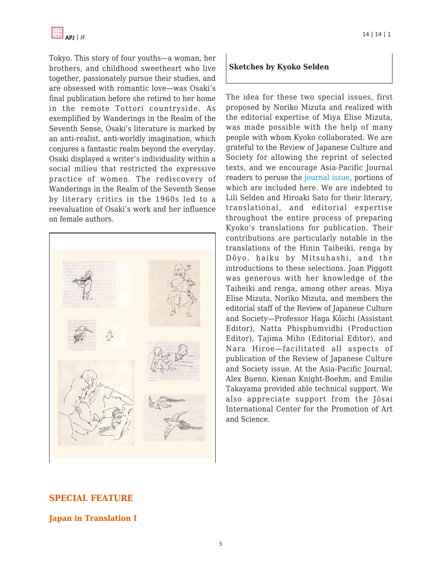

Tokyo. This story of four youths—a woman, her brothers, and childhood sweetheart who live together, passionately pursue their studies, and are obsessed with romantic love—was Osaki's final publication before she retired to her home in the remote Tottori countryside. As exemplified by Wanderings in the Realm of the Seventh Sense, Osaki's literature is marked by an anti-realist, anti-worldly imagination, which conjures a fantastic realm beyond the everyday. Osaki displayed a writer's individuality within a social milieu that restricted the expressive practice of women. The rediscovery of Wanderings in the Realm of the Seventh Sense by literary critics in the 1960s led to a reevaluation of Osaki's work and her influence on female authors.



### **Sketches by Kyoko Selden**

The idea for these two special issues, first proposed by Noriko Mizuta and realized with the editorial expertise of Miya Elise Mizuta, was made possible with the help of many people with whom Kyoko collaborated. We are grateful to the Review of Japanese Culture and Society for allowing the reprint of selected texts, and we encourage Asia-Pacific Journal readers to peruse the [journal issue,](http://www.josai.jp/jicpas/RJCS/) portions of which are included here. We are indebted to Lili Selden and Hiroaki Sato for their literary, translational, and editorial expertise throughout the entire process of preparing Kyoko's translations for publication. Their contributions are particularly notable in the translations of the Hinin Taiheiki, renga by Dōyo, haiku by Mitsuhashi, and the introductions to these selections. Joan Piggott was generous with her knowledge of the Taiheiki and renga, among other areas. Miya Elise Mizuta, Noriko Mizuta, and members the editorial staff of the Review of Japanese Culture and Society—Professor Haga Kōichi (Assistant Editor), Natta Phisphumvidhi (Production Editor), Tajima Miho (Editorial Editor), and Nara Hiroe—facilitated all aspects of publication of the Review of Japanese Culture and Society issue. At the Asia-Pacific Journal, Alex Bueno, Kienan Knight-Boehm, and Emilie Takayama provided able technical support. We also appreciate support from the Jōsai International Center for the Promotion of Art and Science.

### **SPECIAL FEATURE**

### **Japan in Translation I**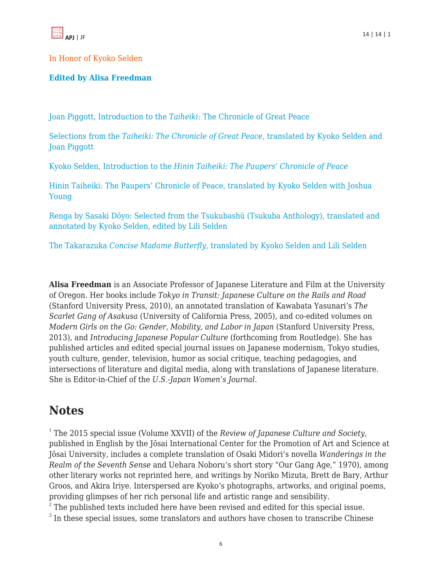In Honor of Kyoko Selden

## **Edited by Alisa Freedman**

[Joan Piggott, Introduction to the](https://apjjf.org/2016/14/Piggott-1.html) *[Taiheiki](https://apjjf.org/2016/14/Piggott-1.html)*[: The Chronicle of Great Peace](https://apjjf.org/2016/14/Piggott-1.html)

[Selections from the](https://apjjf.org/2016/14/Piggott-2.html) *[Taiheiki: The Chronicle of Great Peace](https://apjjf.org/2016/14/Piggott-2.html)*[, translated by Kyoko Selden and](https://apjjf.org/2016/14/Piggott-2.html) [Joan Piggott](https://apjjf.org/2016/14/Piggott-2.html)

[Kyoko Selden, Introduction to the](https://apjjf.org/2016/14/Selden-1.html) *[Hinin Taiheiki: The Paupers' Chronicle of Peace](https://apjjf.org/2016/14/Selden-1.html)*

[Hinin Taiheiki: The Paupers' Chronicle of Peace, translated by Kyoko Selden with Joshua](https://apjjf.org/2016/14/Selden-2.html) [Young](https://apjjf.org/2016/14/Selden-2.html)

[Renga by Sasaki Dōyo: Selected from the Tsukubashū \(Tsukuba Anthology\), translated and](https://apjjf.org/2016/14/Selden-3.html) [annotated by Kyoko Selden, edited by Lili Selden](https://apjjf.org/2016/14/Selden-3.html)

[The Takarazuka](https://apjjf.org/2016/14/Selden-4.html) *[Concise Madame Butterfly](https://apjjf.org/2016/14/Selden-4.html)*[, translated by Kyoko Selden and Lili Selden](https://apjjf.org/2016/14/Selden-4.html)

**Alisa Freedman** is an Associate Professor of Japanese Literature and Film at the University of Oregon. Her books include *Tokyo in Transit: Japanese Culture on the Rails and Road* (Stanford University Press, 2010), an annotated translation of Kawabata Yasunari's *The Scarlet Gang of Asakusa* (University of California Press, 2005), and co-edited volumes on *Modern Girls on the Go: Gender, Mobility, and Labor in Japan* (Stanford University Press, 2013), and *Introducing Japanese Popular Culture* (forthcoming from Routledge). She has published articles and edited special journal issues on Japanese modernism, Tokyo studies, youth culture, gender, television, humor as social critique, teaching pedagogies, and intersections of literature and digital media, along with translations of Japanese literature. She is Editor-in-Chief of the *U.S.-Japan Women's Journal*.

# **Notes**

<sup>1</sup> The 2015 special issue (Volume XXVII) of the *Review of Japanese Culture and Society*, published in English by the Jōsai International Center for the Promotion of Art and Science at Jōsai University, includes a complete translation of Osaki Midori's novella *Wanderings in the Realm of the Seventh Sense* and Uehara Noboru's short story "Our Gang Age," 1970), among other literary works not reprinted here, and writings by Noriko Mizuta, Brett de Bary, Arthur Groos, and Akira Iriye. Interspersed are Kyoko's photographs, artworks, and original poems, providing glimpses of her rich personal life and artistic range and sensibility.

 $2^2$  The published texts included here have been revised and edited for this special issue.

 $3$  In these special issues, some translators and authors have chosen to transcribe Chinese